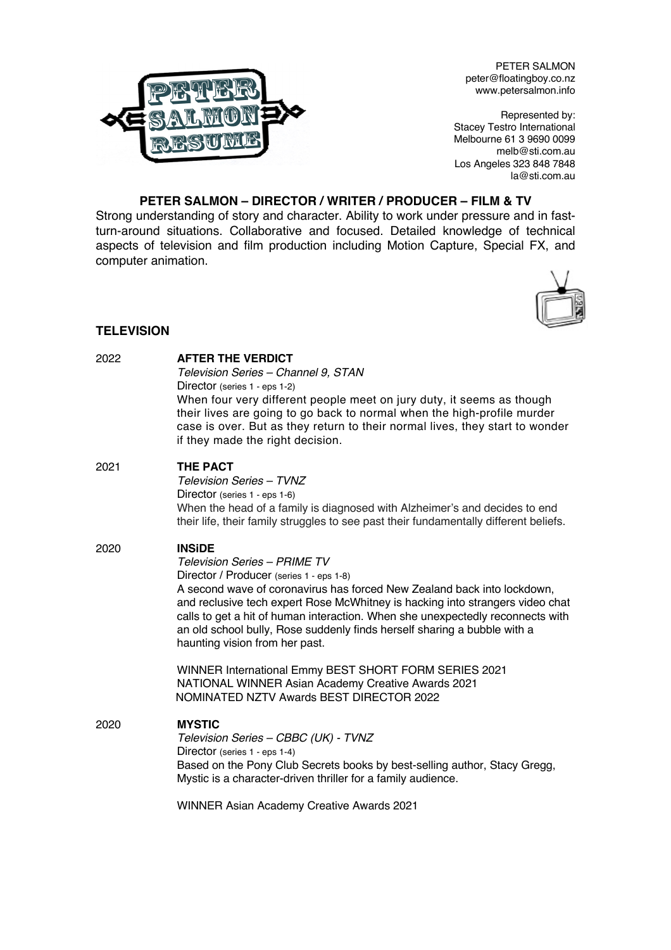

PETER SALMON peter@floatingboy.co.nz www.petersalmon.info

Represented by: Stacey Testro International Melbourne 61 3 9690 0099 melb@sti.com.au Los Angeles 323 848 7848 la@sti.com.au

# **PETER SALMON – DIRECTOR / WRITER / PRODUCER – FILM & TV**

Strong understanding of story and character. Ability to work under pressure and in fastturn-around situations. Collaborative and focused. Detailed knowledge of technical aspects of television and film production including Motion Capture, Special FX, and computer animation.



# **TELEVISION**

| 2022 | <b>AFTER THE VERDICT</b><br>Television Series - Channel 9, STAN<br>Director (series 1 - eps 1-2)<br>When four very different people meet on jury duty, it seems as though<br>their lives are going to go back to normal when the high-profile murder<br>case is over. But as they return to their normal lives, they start to wonder<br>if they made the right decision.                                                                                     |
|------|--------------------------------------------------------------------------------------------------------------------------------------------------------------------------------------------------------------------------------------------------------------------------------------------------------------------------------------------------------------------------------------------------------------------------------------------------------------|
| 2021 | <b>THE PACT</b><br>Television Series - TVNZ<br>Director (series 1 - eps 1-6)<br>When the head of a family is diagnosed with Alzheimer's and decides to end<br>their life, their family struggles to see past their fundamentally different beliefs.                                                                                                                                                                                                          |
| 2020 | <b>INSIDE</b><br><b>Television Series - PRIME TV</b><br>Director / Producer (series 1 - eps 1-8)<br>A second wave of coronavirus has forced New Zealand back into lockdown,<br>and reclusive tech expert Rose McWhitney is hacking into strangers video chat<br>calls to get a hit of human interaction. When she unexpectedly reconnects with<br>an old school bully, Rose suddenly finds herself sharing a bubble with a<br>haunting vision from her past. |
|      | WINNER International Emmy BEST SHORT FORM SERIES 2021<br>NATIONAL WINNER Asian Academy Creative Awards 2021<br>NOMINATED NZTV Awards BEST DIRECTOR 2022                                                                                                                                                                                                                                                                                                      |
| 2020 | <b>MYSTIC</b><br>Television Series - CBBC (UK) - TVNZ<br>Director (series 1 - eps 1-4)<br>Based on the Pony Club Secrets books by best-selling author, Stacy Gregg,<br>Mystic is a character-driven thriller for a family audience.                                                                                                                                                                                                                          |
|      | <b>WINNER Asian Academy Creative Awards 2021</b>                                                                                                                                                                                                                                                                                                                                                                                                             |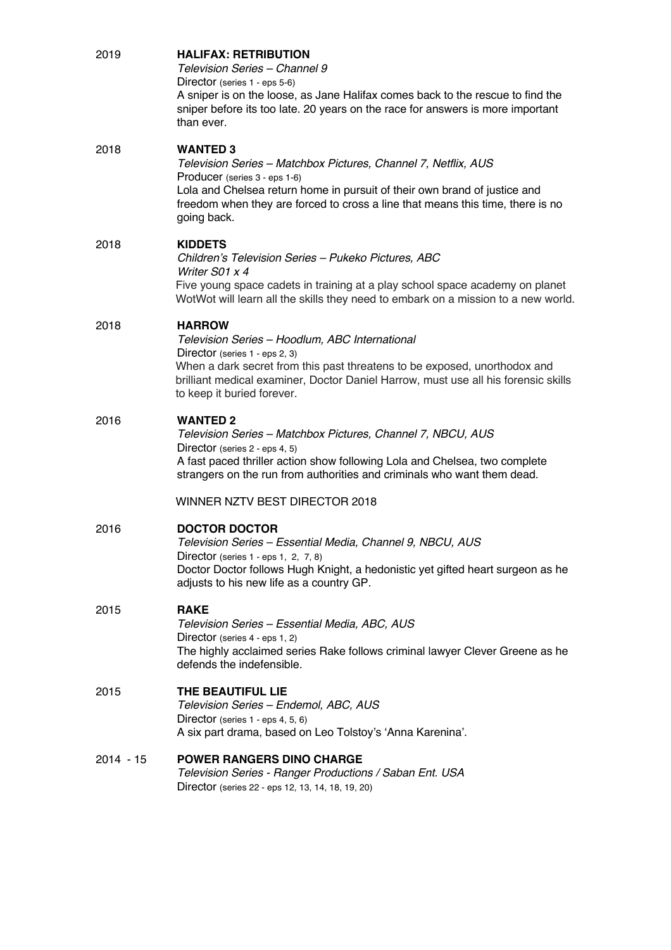| 2019        | <b>HALIFAX: RETRIBUTION</b><br>Television Series - Channel 9<br>Director (series 1 - eps 5-6)<br>A sniper is on the loose, as Jane Halifax comes back to the rescue to find the<br>sniper before its too late. 20 years on the race for answers is more important<br>than ever.                    |
|-------------|----------------------------------------------------------------------------------------------------------------------------------------------------------------------------------------------------------------------------------------------------------------------------------------------------|
| 2018        | <b>WANTED 3</b><br>Television Series - Matchbox Pictures, Channel 7, Netflix, AUS<br>Producer (series 3 - eps 1-6)<br>Lola and Chelsea return home in pursuit of their own brand of justice and<br>freedom when they are forced to cross a line that means this time, there is no<br>going back.   |
| 2018        | <b>KIDDETS</b><br>Children's Television Series - Pukeko Pictures, ABC<br>Writer S01 x 4<br>Five young space cadets in training at a play school space academy on planet<br>WotWot will learn all the skills they need to embark on a mission to a new world.                                       |
| 2018        | <b>HARROW</b><br>Television Series - Hoodlum, ABC International<br>Director (series 1 - eps 2, 3)<br>When a dark secret from this past threatens to be exposed, unorthodox and<br>brilliant medical examiner, Doctor Daniel Harrow, must use all his forensic skills<br>to keep it buried forever. |
| 2016        | <b>WANTED 2</b><br>Television Series - Matchbox Pictures, Channel 7, NBCU, AUS<br>Director (series 2 - eps 4, 5)<br>A fast paced thriller action show following Lola and Chelsea, two complete<br>strangers on the run from authorities and criminals who want them dead.                          |
|             | WINNER NZTV BEST DIRECTOR 2018                                                                                                                                                                                                                                                                     |
| 2016        | <b>DOCTOR DOCTOR</b><br>Television Series - Essential Media, Channel 9, NBCU, AUS<br>Director (series 1 - eps 1, 2, 7, 8)<br>Doctor Doctor follows Hugh Knight, a hedonistic yet gifted heart surgeon as he<br>adjusts to his new life as a country GP.                                            |
| 2015        | <b>RAKE</b><br>Television Series - Essential Media, ABC, AUS<br>Director (series 4 - eps 1, 2)<br>The highly acclaimed series Rake follows criminal lawyer Clever Greene as he<br>defends the indefensible.                                                                                        |
| 2015        | THE BEAUTIFUL LIE<br>Television Series - Endemol, ABC, AUS<br>Director (series 1 - eps 4, 5, 6)<br>A six part drama, based on Leo Tolstoy's 'Anna Karenina'.                                                                                                                                       |
| $2014 - 15$ | <b>POWER RANGERS DINO CHARGE</b><br>Television Series - Ranger Productions / Saban Ent. USA<br>Director (series 22 - eps 12, 13, 14, 18, 19, 20)                                                                                                                                                   |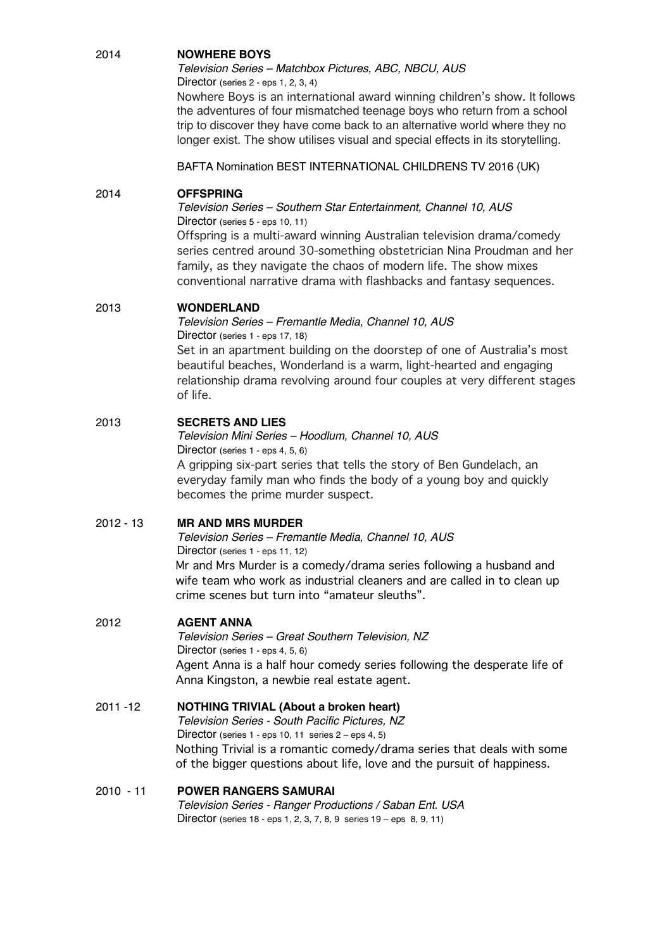# 2014 **NOWHERE BOYS**

*Television Series – Matchbox Pictures, ABC, NBCU, AUS* Director (series 2 - eps 1, 2, 3, 4)

Nowhere Boys is an international award winning children's show. It follows the adventures of four mismatched teenage boys who return from a school trip to discover they have come back to an alternative world where they no longer exist. The show utilises visual and special effects in its storytelling.

BAFTA Nomination BEST INTERNATIONAL CHILDRENS TV 2016 (UK)

# 2014 **OFFSPRING**

*Television Series – Southern Star Entertainment, Channel 10, AUS* Director (series 5 - eps 10, 11)

Offspring is a multi-award winning Australian television drama/comedy series centred around 30-something obstetrician Nina Proudman and her family, as they navigate the chaos of modern life. The show mixes conventional narrative drama with flashbacks and fantasy sequences.

# 2013 **WONDERLAND**

*Television Series – Fremantle Media, Channel 10, AUS* Director (series 1 - eps 17, 18) Set in an apartment building on the doorstep of one of Australia's most beautiful beaches, Wonderland is a warm, light-hearted and engaging relationship drama revolving around four couples at very different stages of life.

# 2013 **SECRETS AND LIES**

*Television Mini Series – Hoodlum, Channel 10, AUS* Director (series 1 - eps 4, 5, 6) A gripping six-part series that tells the story of Ben Gundelach, an everyday family man who finds the body of a young boy and quickly becomes the prime murder suspect.

## 2012 - 13 **MR AND MRS MURDER**

*Television Series – Fremantle Media, Channel 10, AUS* Director (series 1 - eps 11, 12) Mr and Mrs Murder is a comedy/drama series following a husband and wife team who work as industrial cleaners and are called in to clean up crime scenes but turn into "amateur sleuths".

## 2012 **AGENT ANNA**

*Television Series – Great Southern Television, NZ*  Director (series 1 - eps 4, 5, 6) Agent Anna is a half hour comedy series following the desperate life of Anna Kingston, a newbie real estate agent.

## 2011 -12 **NOTHING TRIVIAL (About a broken heart)**

*Television Series - South Pacific Pictures, NZ*  Director (series 1 - eps 10, 11 series 2 – eps 4, 5) Nothing Trivial is a romantic comedy/drama series that deals with some of the bigger questions about life, love and the pursuit of happiness.

#### 2010 - 11 **POWER RANGERS SAMURAI** *Television Series - Ranger Productions / Saban Ent. USA* Director (series 18 - eps 1, 2, 3, 7, 8, 9 series 19 – eps 8, 9, 11)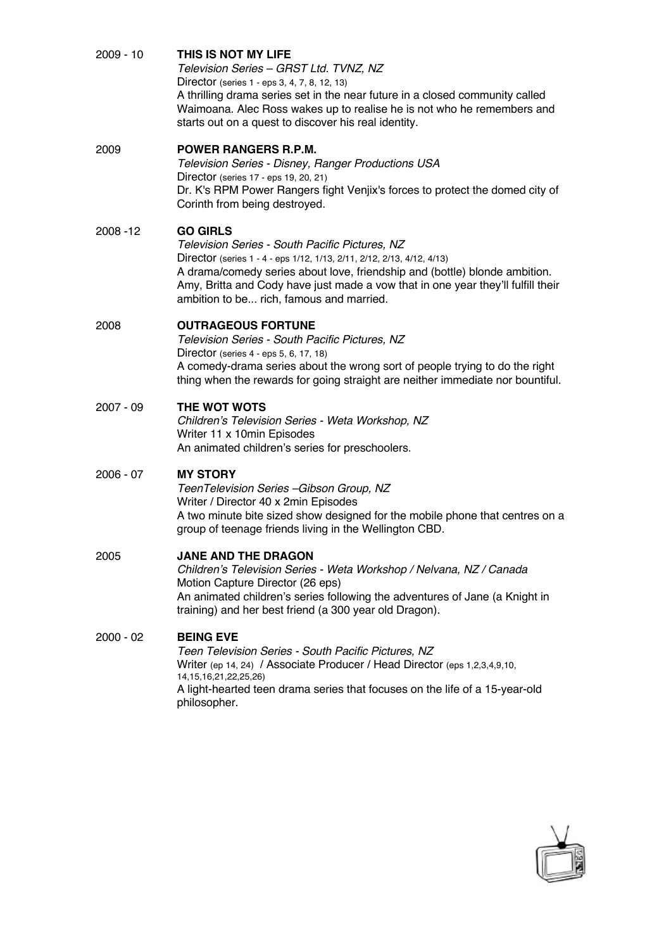| 2009 - 10 | THIS IS NOT MY LIFE |
|-----------|---------------------|
|           |                     |

*Television Series – GRST Ltd. TVNZ, NZ* Director (series 1 - eps 3, 4, 7, 8, 12, 13) A thrilling drama series set in the near future in a closed community called Waimoana. Alec Ross wakes up to realise he is not who he remembers and starts out on a quest to discover his real identity.

## 2009 **POWER RANGERS R.P.M.**

*Television Series - Disney, Ranger Productions USA* Director (series 17 - eps 19, 20, 21) Dr. K's RPM Power Rangers fight Venjix's forces to protect the domed city of Corinth from being destroyed.

## 2008 -12 **GO GIRLS**

*Television Series - South Pacific Pictures, NZ* Director (series 1 - 4 - eps 1/12, 1/13, 2/11, 2/12, 2/13, 4/12, 4/13) A drama/comedy series about love, friendship and (bottle) blonde ambition. Amy, Britta and Cody have just made a vow that in one year they'll fulfill their ambition to be... rich, famous and married.

# 2008 **OUTRAGEOUS FORTUNE**

*Television Series - South Pacific Pictures, NZ* Director (series 4 - eps 5, 6, 17, 18) A comedy-drama series about the wrong sort of people trying to do the right thing when the rewards for going straight are neither immediate nor bountiful.

# 2007 - 09 **THE WOT WOTS**

*Children's Television Series - Weta Workshop, NZ*  Writer 11 x 10min Episodes An animated children's series for preschoolers.

# 2006 - 07 **MY STORY**

*TeenTelevision Series –Gibson Group, NZ*  Writer / Director 40 x 2min Episodes A two minute bite sized show designed for the mobile phone that centres on a group of teenage friends living in the Wellington CBD.

## 2005 **JANE AND THE DRAGON**

*Children's Television Series - Weta Workshop / Nelvana, NZ / Canada* Motion Capture Director (26 eps) An animated children's series following the adventures of Jane (a Knight in training) and her best friend (a 300 year old Dragon).

# 2000 - 02 **BEING EVE**

*Teen Television Series - South Pacific Pictures, NZ* Writer (ep 14, 24) / Associate Producer / Head Director (eps 1, 2, 3, 4, 9, 10, 14,15,16,21,22,25,26) A light-hearted teen drama series that focuses on the life of a 15-year-old philosopher.